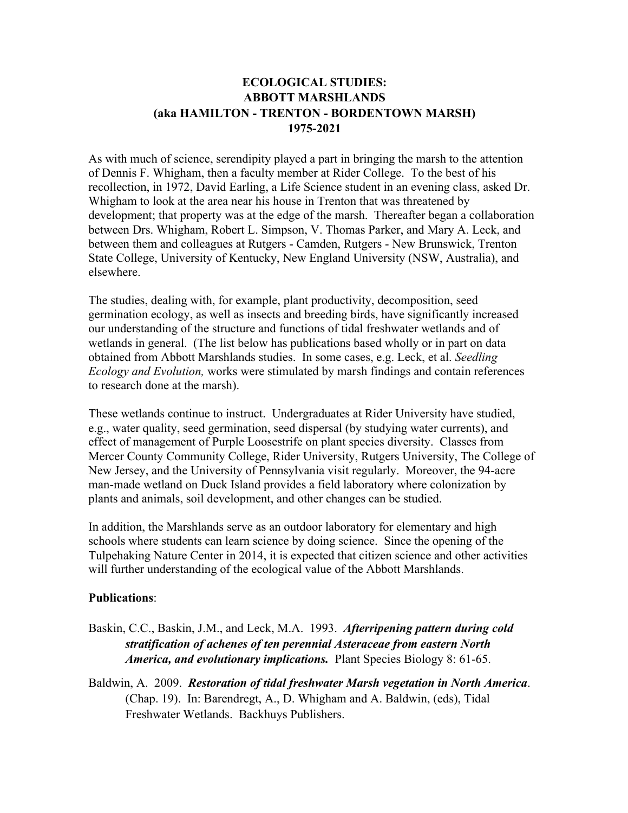## **ECOLOGICAL STUDIES: ABBOTT MARSHLANDS (aka HAMILTON - TRENTON - BORDENTOWN MARSH) 1975-2021**

As with much of science, serendipity played a part in bringing the marsh to the attention of Dennis F. Whigham, then a faculty member at Rider College. To the best of his recollection, in 1972, David Earling, a Life Science student in an evening class, asked Dr. Whigham to look at the area near his house in Trenton that was threatened by development; that property was at the edge of the marsh. Thereafter began a collaboration between Drs. Whigham, Robert L. Simpson, V. Thomas Parker, and Mary A. Leck, and between them and colleagues at Rutgers - Camden, Rutgers - New Brunswick, Trenton State College, University of Kentucky, New England University (NSW, Australia), and elsewhere.

The studies, dealing with, for example, plant productivity, decomposition, seed germination ecology, as well as insects and breeding birds, have significantly increased our understanding of the structure and functions of tidal freshwater wetlands and of wetlands in general. (The list below has publications based wholly or in part on data obtained from Abbott Marshlands studies. In some cases, e.g. Leck, et al. *Seedling Ecology and Evolution,* works were stimulated by marsh findings and contain references to research done at the marsh).

These wetlands continue to instruct. Undergraduates at Rider University have studied, e.g., water quality, seed germination, seed dispersal (by studying water currents), and effect of management of Purple Loosestrife on plant species diversity. Classes from Mercer County Community College, Rider University, Rutgers University, The College of New Jersey, and the University of Pennsylvania visit regularly. Moreover, the 94-acre man-made wetland on Duck Island provides a field laboratory where colonization by plants and animals, soil development, and other changes can be studied.

In addition, the Marshlands serve as an outdoor laboratory for elementary and high schools where students can learn science by doing science. Since the opening of the Tulpehaking Nature Center in 2014, it is expected that citizen science and other activities will further understanding of the ecological value of the Abbott Marshlands.

## **Publications**:

- Baskin, C.C., Baskin, J.M., and Leck, M.A. 1993. *Afterripening pattern during cold stratification of achenes of ten perennial Asteraceae from eastern North America, and evolutionary implications.* Plant Species Biology 8: 61-65.
- Baldwin, A. 2009. *Restoration of tidal freshwater Marsh vegetation in North America*. (Chap. 19). In: Barendregt, A., D. Whigham and A. Baldwin, (eds), Tidal Freshwater Wetlands. Backhuys Publishers.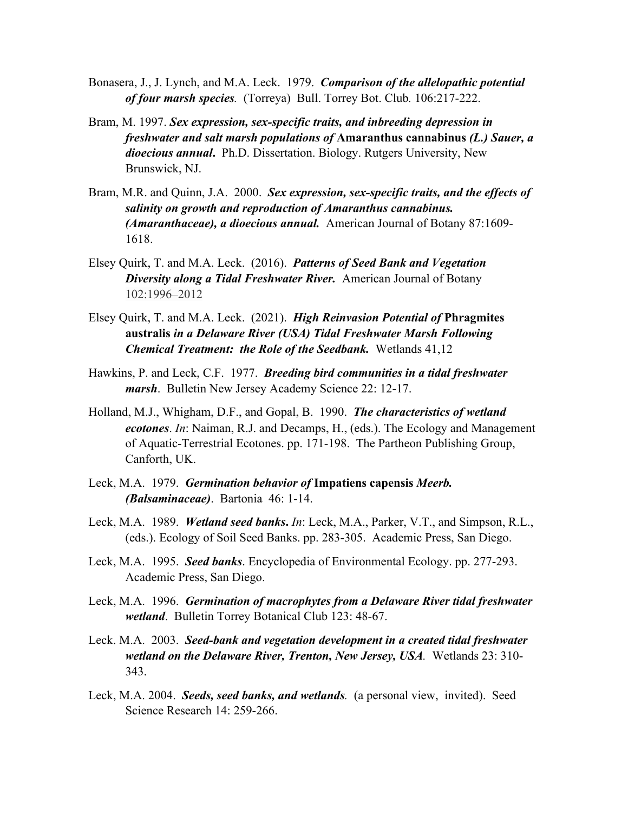- Bonasera, J., J. Lynch, and M.A. Leck. 1979. *Comparison of the allelopathic potential of four marsh species.* (Torreya) Bull. Torrey Bot. Club*.* 106:217-222.
- Bram, M. 1997. *Sex expression, sex-specific traits, and inbreeding depression in freshwater and salt marsh populations of* **Amaranthus cannabinus** *(L.) Sauer, a dioecious annual***.** Ph.D. Dissertation. Biology. Rutgers University, New Brunswick, NJ.
- Bram, M.R. and Quinn, J.A. 2000. *Sex expression, sex-specific traits, and the effects of salinity on growth and reproduction of Amaranthus cannabinus. (Amaranthaceae), a dioecious annual.* American Journal of Botany 87:1609- 1618.
- Elsey Quirk, T. and M.A. Leck. (2016). *Patterns of Seed Bank and Vegetation Diversity along a Tidal Freshwater River.* American Journal of Botany 102:1996–2012
- Elsey Quirk, T. and M.A. Leck. (2021). *High Reinvasion Potential of* **Phragmites australis** *in a Delaware River (USA) Tidal Freshwater Marsh Following Chemical Treatment: the Role of the Seedbank.* Wetlands 41,12
- Hawkins, P. and Leck, C.F. 1977. *Breeding bird communities in a tidal freshwater marsh*. Bulletin New Jersey Academy Science 22: 12-17.
- Holland, M.J., Whigham, D.F., and Gopal, B. 1990. *The characteristics of wetland ecotones*. *In*: Naiman, R.J. and Decamps, H., (eds.). The Ecology and Management of Aquatic-Terrestrial Ecotones. pp. 171-198. The Partheon Publishing Group, Canforth, UK.
- Leck, M.A. 1979. *Germination behavior of* **Impatiens capensis** *Meerb. (Balsaminaceae)*. Bartonia46: 1-14.
- Leck, M.A. 1989. *Wetland seed banks***.** *In*: Leck, M.A., Parker, V.T., and Simpson, R.L., (eds.). Ecology of Soil Seed Banks. pp. 283-305. Academic Press, San Diego.
- Leck, M.A. 1995. *Seed banks*. Encyclopedia of Environmental Ecology. pp. 277-293. Academic Press, San Diego.
- Leck, M.A. 1996. *Germination of macrophytes from a Delaware River tidal freshwater wetland*. Bulletin Torrey Botanical Club 123: 48-67.
- Leck. M.A. 2003. *Seed-bank and vegetation development in a created tidal freshwater wetland on the Delaware River, Trenton, New Jersey, USA.* Wetlands 23: 310- 343.
- Leck, M.A. 2004. *Seeds, seed banks, and wetlands.* (a personal view, invited). Seed Science Research 14: 259-266.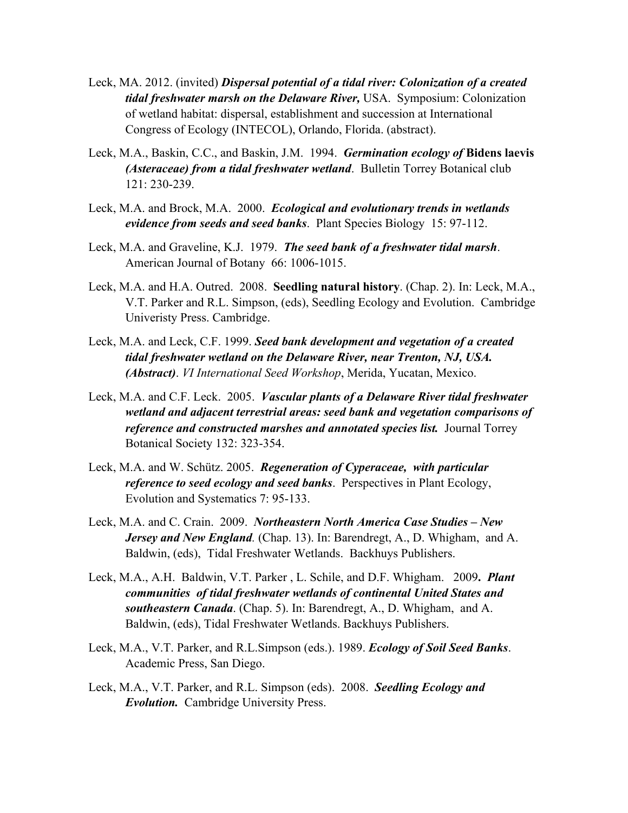- Leck, MA. 2012. (invited) *Dispersal potential of a tidal river: Colonization of a created tidal freshwater marsh on the Delaware River,* USA. Symposium: Colonization of wetland habitat: dispersal, establishment and succession at International Congress of Ecology (INTECOL), Orlando, Florida. (abstract).
- Leck, M.A., Baskin, C.C., and Baskin, J.M. 1994. *Germination ecology of* **Bidens laevis** *(Asteraceae) from a tidal freshwater wetland*. Bulletin Torrey Botanical club 121: 230-239.
- Leck, M.A. and Brock, M.A. 2000. *Ecological and evolutionary trends in wetlands evidence from seeds and seed banks*. Plant Species Biology15: 97-112.
- Leck, M.A. and Graveline, K.J. 1979. *The seed bank of a freshwater tidal marsh*. American Journal of Botany66: 1006-1015.
- Leck, M.A. and H.A. Outred. 2008. **Seedling natural history**. (Chap. 2). In: Leck, M.A., V.T. Parker and R.L. Simpson, (eds), Seedling Ecology and Evolution. Cambridge Univeristy Press. Cambridge.
- Leck, M.A. and Leck, C.F. 1999. *Seed bank development and vegetation of a created tidal freshwater wetland on the Delaware River, near Trenton, NJ, USA. (Abstract)*. *VI International Seed Workshop*, Merida, Yucatan, Mexico.
- Leck, M.A. and C.F. Leck. 2005. *Vascular plants of a Delaware River tidal freshwater wetland and adjacent terrestrial areas: seed bank and vegetation comparisons of reference and constructed marshes and annotated species list.* Journal Torrey Botanical Society 132: 323-354.
- Leck, M.A. and W. Schütz. 2005. *Regeneration of Cyperaceae, with particular reference to seed ecology and seed banks*. Perspectives in Plant Ecology, Evolution and Systematics 7: 95-133.
- Leck, M.A. and C. Crain. 2009. *Northeastern North America Case Studies – New Jersey and New England.* (Chap. 13). In: Barendregt, A., D. Whigham, and A. Baldwin, (eds), Tidal Freshwater Wetlands. Backhuys Publishers.
- Leck, M.A., A.H. Baldwin, V.T. Parker , L. Schile, and D.F. Whigham. 2009**.** *Plant communities of tidal freshwater wetlands of continental United States and southeastern Canada*. (Chap. 5). In: Barendregt, A., D. Whigham, and A. Baldwin, (eds), Tidal Freshwater Wetlands. Backhuys Publishers.
- Leck, M.A., V.T. Parker, and R.L.Simpson (eds.). 1989. *Ecology of Soil Seed Banks*. Academic Press, San Diego.
- Leck, M.A., V.T. Parker, and R.L. Simpson (eds). 2008. *Seedling Ecology and Evolution.* Cambridge University Press.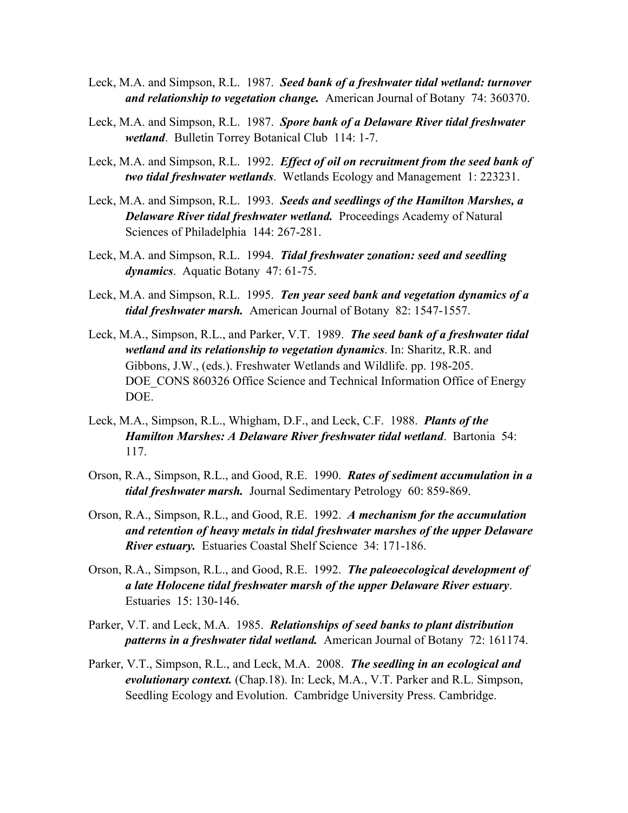- Leck, M.A. and Simpson, R.L. 1987. *Seed bank of a freshwater tidal wetland: turnover and relationship to vegetation change.* American Journal of Botany74: 360370.
- Leck, M.A. and Simpson, R.L. 1987. *Spore bank of a Delaware River tidal freshwater wetland*. Bulletin Torrey Botanical Club114: 1-7.
- Leck, M.A. and Simpson, R.L. 1992. *Effect of oil on recruitment from the seed bank of two tidal freshwater wetlands*. Wetlands Ecology and Management1: 223231.
- Leck, M.A. and Simpson, R.L. 1993. *Seeds and seedlings of the Hamilton Marshes, a Delaware River tidal freshwater wetland.* Proceedings Academy of Natural Sciences of Philadelphia144: 267-281.
- Leck, M.A. and Simpson, R.L. 1994. *Tidal freshwater zonation: seed and seedling dynamics*. Aquatic Botany47: 61-75.
- Leck, M.A. and Simpson, R.L. 1995. *Ten year seed bank and vegetation dynamics of a tidal freshwater marsh.* American Journal of Botany 82: 1547-1557.
- Leck, M.A., Simpson, R.L., and Parker, V.T. 1989. *The seed bank of a freshwater tidal wetland and its relationship to vegetation dynamics*. In: Sharitz, R.R. and Gibbons, J.W., (eds.). Freshwater Wetlands and Wildlife. pp. 198-205. DOE CONS 860326 Office Science and Technical Information Office of Energy DOE.
- Leck, M.A., Simpson, R.L., Whigham, D.F., and Leck, C.F. 1988. *Plants of the Hamilton Marshes: A Delaware River freshwater tidal wetland*. Bartonia 54: 117.
- Orson, R.A., Simpson, R.L., and Good, R.E. 1990. *Rates of sediment accumulation in a tidal freshwater marsh.* Journal Sedimentary Petrology 60: 859-869.
- Orson, R.A., Simpson, R.L., and Good, R.E. 1992. *A mechanism for the accumulation and retention of heavy metals in tidal freshwater marshes of the upper Delaware River estuary.* Estuaries Coastal Shelf Science 34: 171-186.
- Orson, R.A., Simpson, R.L., and Good, R.E. 1992. *The paleoecological development of a late Holocene tidal freshwater marsh of the upper Delaware River estuary*. Estuaries 15: 130-146.
- Parker, V.T. and Leck, M.A. 1985. *Relationships of seed banks to plant distribution patterns in a freshwater tidal wetland.* American Journal of Botany 72: 161174.
- Parker, V.T., Simpson, R.L., and Leck, M.A. 2008. *The seedling in an ecological and evolutionary context.* (Chap.18). In: Leck, M.A., V.T. Parker and R.L. Simpson, Seedling Ecology and Evolution. Cambridge University Press. Cambridge.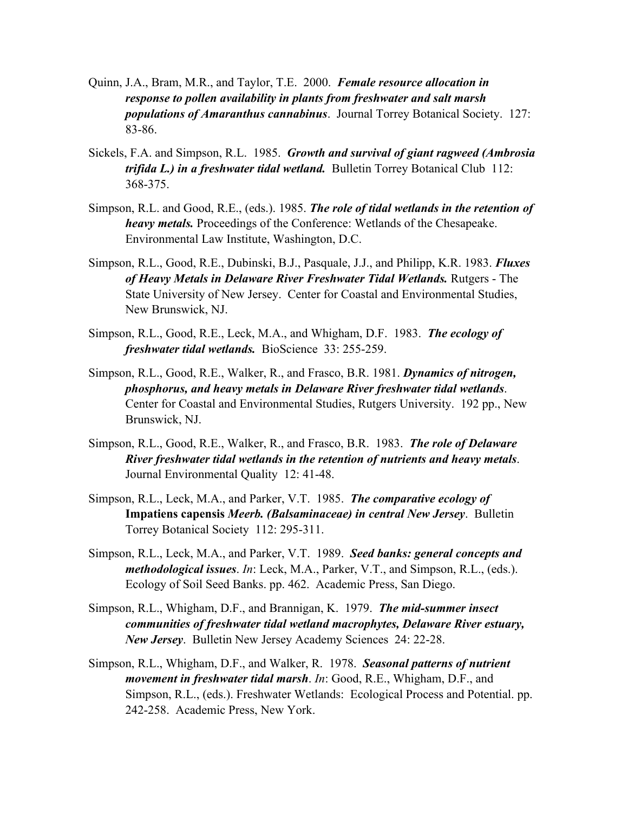- Quinn, J.A., Bram, M.R., and Taylor, T.E. 2000. *Female resource allocation in response to pollen availability in plants from freshwater and salt marsh populations of Amaranthus cannabinus*. Journal Torrey Botanical Society. 127: 83-86.
- Sickels, F.A. and Simpson, R.L. 1985. *Growth and survival of giant ragweed (Ambrosia trifida L.) in a freshwater tidal wetland.* Bulletin Torrey Botanical Club 112: 368-375.
- Simpson, R.L. and Good, R.E., (eds.). 1985. *The role of tidal wetlands in the retention of heavy metals.* Proceedings of the Conference: Wetlands of the Chesapeake. Environmental Law Institute, Washington, D.C.
- Simpson, R.L., Good, R.E., Dubinski, B.J., Pasquale, J.J., and Philipp, K.R. 1983. *Fluxes of Heavy Metals in Delaware River Freshwater Tidal Wetlands.* Rutgers - The State University of New Jersey. Center for Coastal and Environmental Studies, New Brunswick, NJ.
- Simpson, R.L., Good, R.E., Leck, M.A., and Whigham, D.F. 1983. *The ecology of freshwater tidal wetlands.* BioScience 33: 255-259.
- Simpson, R.L., Good, R.E., Walker, R., and Frasco, B.R. 1981. *Dynamics of nitrogen, phosphorus, and heavy metals in Delaware River freshwater tidal wetlands*. Center for Coastal and Environmental Studies, Rutgers University. 192 pp., New Brunswick, NJ.
- Simpson, R.L., Good, R.E., Walker, R., and Frasco, B.R. 1983. *The role of Delaware River freshwater tidal wetlands in the retention of nutrients and heavy metals*. Journal Environmental Quality12: 41-48.
- Simpson, R.L., Leck, M.A., and Parker, V.T. 1985. *The comparative ecology of*  **Impatiens capensis** *Meerb. (Balsaminaceae) in central New Jersey*. Bulletin Torrey Botanical Society112: 295-311.
- Simpson, R.L., Leck, M.A., and Parker, V.T. 1989. *Seed banks: general concepts and methodological issues*. *In*: Leck, M.A., Parker, V.T., and Simpson, R.L., (eds.). Ecology of Soil Seed Banks. pp. 462. Academic Press, San Diego.
- Simpson, R.L., Whigham, D.F., and Brannigan, K. 1979. *The mid-summer insect communities of freshwater tidal wetland macrophytes, Delaware River estuary, New Jersey*. Bulletin New Jersey Academy Sciences24: 22-28.
- Simpson, R.L., Whigham, D.F., and Walker, R. 1978. *Seasonal patterns of nutrient movement in freshwater tidal marsh*. *In*: Good, R.E., Whigham, D.F., and Simpson, R.L., (eds.). Freshwater Wetlands: Ecological Process and Potential. pp. 242-258. Academic Press, New York.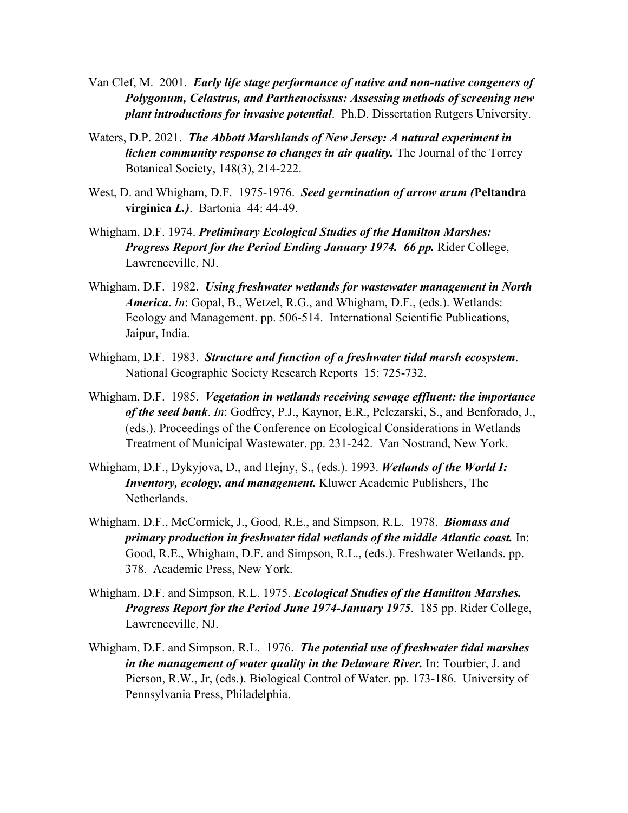- Van Clef, M. 2001. *Early life stage performance of native and non-native congeners of Polygonum, Celastrus, and Parthenocissus: Assessing methods of screening new plant introductions for invasive potential*. Ph.D. Dissertation Rutgers University.
- Waters, D.P. 2021. *The Abbott Marshlands of New Jersey: A natural experiment in lichen community response to changes in air quality.* The Journal of the Torrey Botanical Society, 148(3), 214-222.
- West, D. and Whigham, D.F. 1975-1976. *Seed germination of arrow arum (***Peltandra virginica** *L.)*. Bartonia44: 44-49.
- Whigham, D.F. 1974. *Preliminary Ecological Studies of the Hamilton Marshes: Progress Report for the Period Ending January 1974. 66 pp.* Rider College, Lawrenceville, NJ.
- Whigham, D.F. 1982. *Using freshwater wetlands for wastewater management in North America*. *In*: Gopal, B., Wetzel, R.G., and Whigham, D.F., (eds.). Wetlands: Ecology and Management. pp. 506-514. International Scientific Publications, Jaipur, India.
- Whigham, D.F. 1983. *Structure and function of a freshwater tidal marsh ecosystem*. National Geographic Society Research Reports15: 725-732.
- Whigham, D.F. 1985. *Vegetation in wetlands receiving sewage effluent: the importance of the seed bank*. *In*: Godfrey, P.J., Kaynor, E.R., Pelczarski, S., and Benforado, J., (eds.). Proceedings of the Conference on Ecological Considerations in Wetlands Treatment of Municipal Wastewater. pp. 231-242. Van Nostrand, New York.
- Whigham, D.F., Dykyjova, D., and Hejny, S., (eds.). 1993. *Wetlands of the World I: Inventory, ecology, and management.* Kluwer Academic Publishers, The Netherlands.
- Whigham, D.F., McCormick, J., Good, R.E., and Simpson, R.L. 1978. *Biomass and primary production in freshwater tidal wetlands of the middle Atlantic coast.* In: Good, R.E., Whigham, D.F. and Simpson, R.L., (eds.). Freshwater Wetlands. pp. 378. Academic Press, New York.
- Whigham, D.F. and Simpson, R.L. 1975. *Ecological Studies of the Hamilton Marshes. Progress Report for the Period June 1974-January 1975*. 185 pp. Rider College, Lawrenceville, NJ.
- Whigham, D.F. and Simpson, R.L. 1976. *The potential use of freshwater tidal marshes in the management of water quality in the Delaware River.* In: Tourbier, J. and Pierson, R.W., Jr, (eds.). Biological Control of Water. pp. 173-186. University of Pennsylvania Press, Philadelphia.